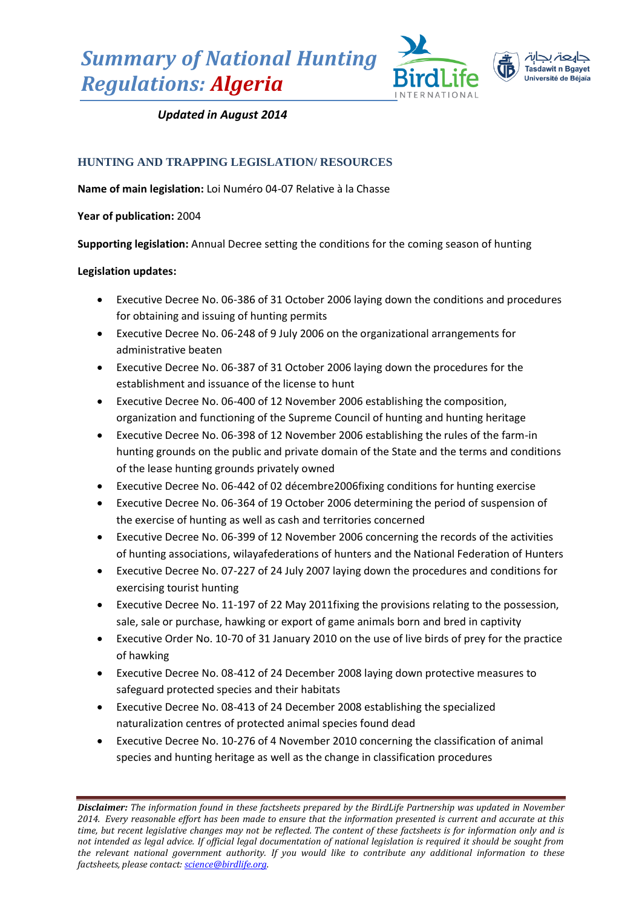*Summary of National Hunting Regulations: Algeria*





*Updated in August 2014*

# **HUNTING AND TRAPPING LEGISLATION/ RESOURCES**

**Name of main legislation:** Loi Numéro 04-07 Relative à la Chasse

**Year of publication:** 2004

**Supporting legislation:** Annual Decree setting the conditions for the coming season of hunting

## **Legislation updates:**

- Executive Decree No. 06-386 of 31 October 2006 laying down the conditions and procedures for obtaining and issuing of hunting permits
- Executive Decree No. 06-248 of 9 July 2006 on the organizational arrangements for administrative beaten
- Executive Decree No. 06-387 of 31 October 2006 laying down the procedures for the establishment and issuance of the license to hunt
- Executive Decree No. 06-400 of 12 November 2006 establishing the composition, organization and functioning of the Supreme Council of hunting and hunting heritage
- Executive Decree No. 06-398 of 12 November 2006 establishing the rules of the farm-in hunting grounds on the public and private domain of the State and the terms and conditions of the lease hunting grounds privately owned
- Executive Decree No. 06-442 of 02 décembre2006fixing conditions for hunting exercise
- Executive Decree No. 06-364 of 19 October 2006 determining the period of suspension of the exercise of hunting as well as cash and territories concerned
- Executive Decree No. 06-399 of 12 November 2006 concerning the records of the activities of hunting associations, wilayafederations of hunters and the National Federation of Hunters
- Executive Decree No. 07-227 of 24 July 2007 laying down the procedures and conditions for exercising tourist hunting
- Executive Decree No. 11-197 of 22 May 2011fixing the provisions relating to the possession, sale, sale or purchase, hawking or export of game animals born and bred in captivity
- Executive Order No. 10-70 of 31 January 2010 on the use of live birds of prey for the practice of hawking
- Executive Decree No. 08-412 of 24 December 2008 laying down protective measures to safeguard protected species and their habitats
- Executive Decree No. 08-413 of 24 December 2008 establishing the specialized naturalization centres of protected animal species found dead
- Executive Decree No. 10-276 of 4 November 2010 concerning the classification of animal species and hunting heritage as well as the change in classification procedures

*Disclaimer: The information found in these factsheets prepared by the BirdLife Partnership was updated in November 2014. Every reasonable effort has been made to ensure that the information presented is current and accurate at this time, but recent legislative changes may not be reflected. The content of these factsheets is for information only and is not intended as legal advice. If official legal documentation of national legislation is required it should be sought from the relevant national government authority. If you would like to contribute any additional information to these factsheets, please contact[: science@birdlife.org.](mailto:science@birdlife.org)*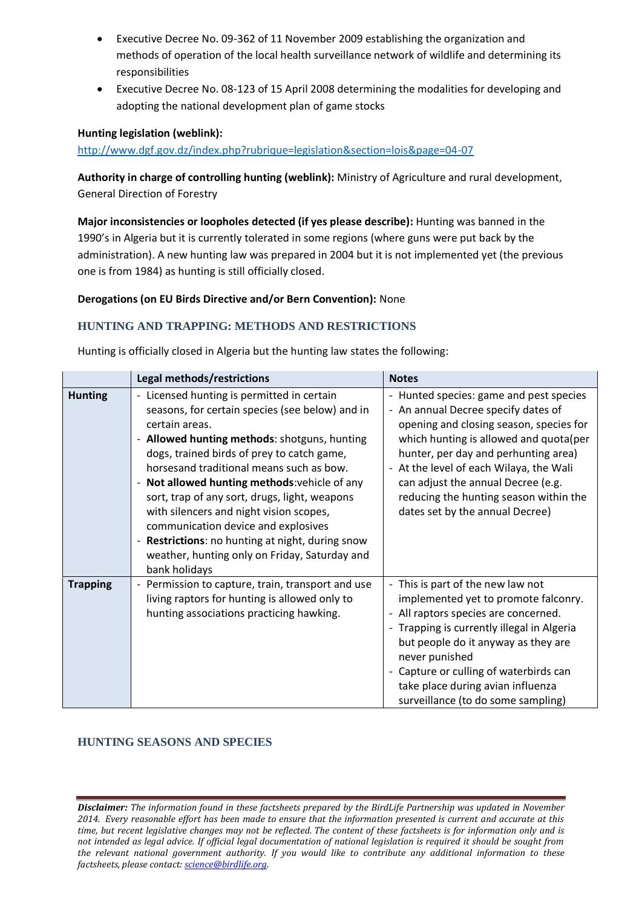- Executive Decree No. 09-362 of 11 November 2009 establishing the organization and methods of operation of the local health surveillance network of wildlife and determining its responsibilities
- Executive Decree No. 08-123 of 15 April 2008 determining the modalities for developing and adopting the national development plan of game stocks

## **Hunting legislation (weblink):**

[http://www.dgf.gov.dz/index.php?rubrique=legislation&section=lois&page=04-07](http://www.dgf.gov.dz/index.php?rubrique=legislation§ion=lois&page=04-07)

**Authority in charge of controlling hunting (weblink):** Ministry of Agriculture and rural development, General Direction of Forestry

**Major inconsistencies or loopholes detected (if yes please describe):** Hunting was banned in the 1990's in Algeria but it is currently tolerated in some regions (where guns were put back by the administration). A new hunting law was prepared in 2004 but it is not implemented yet (the previous one is from 1984) as hunting is still officially closed.

## **Derogations (on EU Birds Directive and/or Bern Convention):** None

## **HUNTING AND TRAPPING: METHODS AND RESTRICTIONS**

Hunting is officially closed in Algeria but the hunting law states the following:

|                 | Legal methods/restrictions                                                                                                                                                                                                                                                                                                                                                                                                                                                                                                                                        | <b>Notes</b>                                                                                                                                                                                                                                                                                                                                                              |
|-----------------|-------------------------------------------------------------------------------------------------------------------------------------------------------------------------------------------------------------------------------------------------------------------------------------------------------------------------------------------------------------------------------------------------------------------------------------------------------------------------------------------------------------------------------------------------------------------|---------------------------------------------------------------------------------------------------------------------------------------------------------------------------------------------------------------------------------------------------------------------------------------------------------------------------------------------------------------------------|
| <b>Hunting</b>  | - Licensed hunting is permitted in certain<br>seasons, for certain species (see below) and in<br>certain areas.<br>- Allowed hunting methods: shotguns, hunting<br>dogs, trained birds of prey to catch game,<br>horsesand traditional means such as bow.<br>- Not allowed hunting methods: vehicle of any<br>sort, trap of any sort, drugs, light, weapons<br>with silencers and night vision scopes,<br>communication device and explosives<br>Restrictions: no hunting at night, during snow<br>weather, hunting only on Friday, Saturday and<br>bank holidays | - Hunted species: game and pest species<br>- An annual Decree specify dates of<br>opening and closing season, species for<br>which hunting is allowed and quota(per<br>hunter, per day and perhunting area)<br>- At the level of each Wilaya, the Wali<br>can adjust the annual Decree (e.g.<br>reducing the hunting season within the<br>dates set by the annual Decree) |
| <b>Trapping</b> | Permission to capture, train, transport and use<br>$\overline{\phantom{a}}$<br>living raptors for hunting is allowed only to<br>hunting associations practicing hawking.                                                                                                                                                                                                                                                                                                                                                                                          | - This is part of the new law not<br>implemented yet to promote falconry.<br>- All raptors species are concerned.<br>- Trapping is currently illegal in Algeria<br>but people do it anyway as they are<br>never punished<br>- Capture or culling of waterbirds can<br>take place during avian influenza<br>surveillance (to do some sampling)                             |

## **HUNTING SEASONS AND SPECIES**

*Disclaimer: The information found in these factsheets prepared by the BirdLife Partnership was updated in November 2014. Every reasonable effort has been made to ensure that the information presented is current and accurate at this time, but recent legislative changes may not be reflected. The content of these factsheets is for information only and is not intended as legal advice. If official legal documentation of national legislation is required it should be sought from the relevant national government authority. If you would like to contribute any additional information to these factsheets, please contact[: science@birdlife.org.](mailto:science@birdlife.org)*